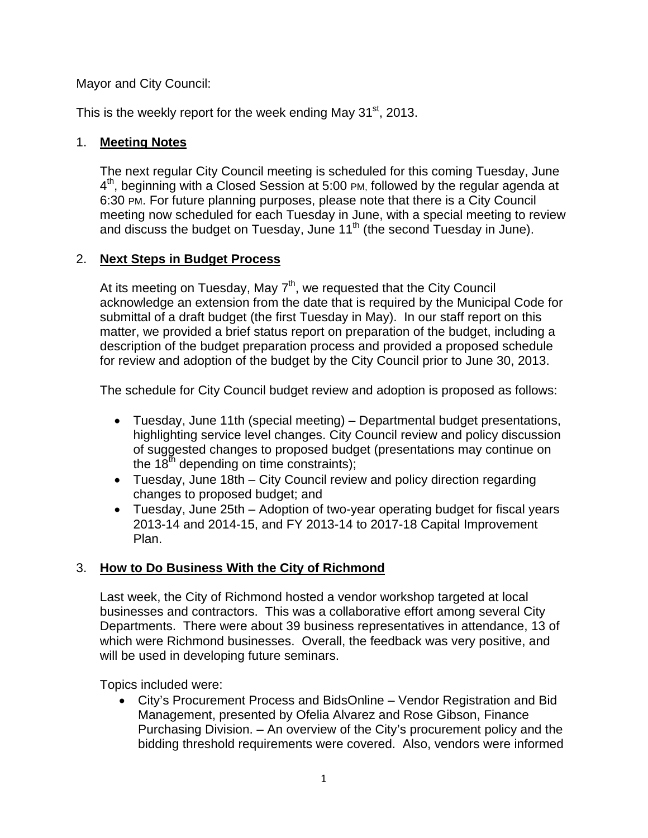Mayor and City Council:

This is the weekly report for the week ending May  $31<sup>st</sup>$ , 2013.

#### 1. **Meeting Notes**

The next regular City Council meeting is scheduled for this coming Tuesday, June  $4<sup>th</sup>$ , beginning with a Closed Session at 5:00 PM, followed by the regular agenda at 6:30 PM. For future planning purposes, please note that there is a City Council meeting now scheduled for each Tuesday in June, with a special meeting to review and discuss the budget on Tuesday, June  $11<sup>th</sup>$  (the second Tuesday in June).

## 2. **Next Steps in Budget Process**

At its meeting on Tuesday, May  $7<sup>th</sup>$ , we requested that the City Council acknowledge an extension from the date that is required by the Municipal Code for submittal of a draft budget (the first Tuesday in May). In our staff report on this matter, we provided a brief status report on preparation of the budget, including a description of the budget preparation process and provided a proposed schedule for review and adoption of the budget by the City Council prior to June 30, 2013.

The schedule for City Council budget review and adoption is proposed as follows:

- Tuesday, June 11th (special meeting) Departmental budget presentations, highlighting service level changes. City Council review and policy discussion of suggested changes to proposed budget (presentations may continue on the  $18<sup>th</sup>$  depending on time constraints);
- Tuesday, June 18th City Council review and policy direction regarding changes to proposed budget; and
- Tuesday, June 25th Adoption of two-year operating budget for fiscal years 2013-14 and 2014-15, and FY 2013-14 to 2017-18 Capital Improvement Plan.

## 3. **How to Do Business With the City of Richmond**

Last week, the City of Richmond hosted a vendor workshop targeted at local businesses and contractors. This was a collaborative effort among several City Departments. There were about 39 business representatives in attendance, 13 of which were Richmond businesses. Overall, the feedback was very positive, and will be used in developing future seminars.

Topics included were:

 City's Procurement Process and BidsOnline – Vendor Registration and Bid Management, presented by Ofelia Alvarez and Rose Gibson, Finance Purchasing Division. – An overview of the City's procurement policy and the bidding threshold requirements were covered. Also, vendors were informed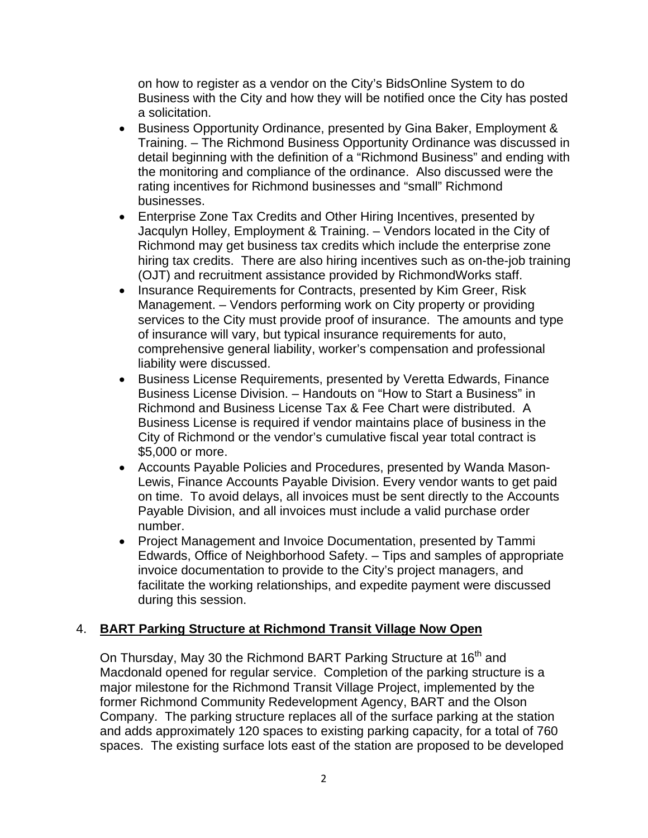on how to register as a vendor on the City's BidsOnline System to do Business with the City and how they will be notified once the City has posted a solicitation.

- Business Opportunity Ordinance, presented by Gina Baker, Employment & Training. – The Richmond Business Opportunity Ordinance was discussed in detail beginning with the definition of a "Richmond Business" and ending with the monitoring and compliance of the ordinance. Also discussed were the rating incentives for Richmond businesses and "small" Richmond businesses.
- Enterprise Zone Tax Credits and Other Hiring Incentives, presented by Jacqulyn Holley, Employment & Training. – Vendors located in the City of Richmond may get business tax credits which include the enterprise zone hiring tax credits. There are also hiring incentives such as on-the-job training (OJT) and recruitment assistance provided by RichmondWorks staff.
- Insurance Requirements for Contracts, presented by Kim Greer, Risk Management. – Vendors performing work on City property or providing services to the City must provide proof of insurance. The amounts and type of insurance will vary, but typical insurance requirements for auto, comprehensive general liability, worker's compensation and professional liability were discussed.
- Business License Requirements, presented by Veretta Edwards, Finance Business License Division. – Handouts on "How to Start a Business" in Richmond and Business License Tax & Fee Chart were distributed. A Business License is required if vendor maintains place of business in the City of Richmond or the vendor's cumulative fiscal year total contract is \$5,000 or more.
- Accounts Payable Policies and Procedures, presented by Wanda Mason-Lewis, Finance Accounts Payable Division. Every vendor wants to get paid on time. To avoid delays, all invoices must be sent directly to the Accounts Payable Division, and all invoices must include a valid purchase order number.
- Project Management and Invoice Documentation, presented by Tammi Edwards, Office of Neighborhood Safety. – Tips and samples of appropriate invoice documentation to provide to the City's project managers, and facilitate the working relationships, and expedite payment were discussed during this session.

## 4. **BART Parking Structure at Richmond Transit Village Now Open**

On Thursday, May 30 the Richmond BART Parking Structure at 16<sup>th</sup> and Macdonald opened for regular service. Completion of the parking structure is a major milestone for the Richmond Transit Village Project, implemented by the former Richmond Community Redevelopment Agency, BART and the Olson Company. The parking structure replaces all of the surface parking at the station and adds approximately 120 spaces to existing parking capacity, for a total of 760 spaces. The existing surface lots east of the station are proposed to be developed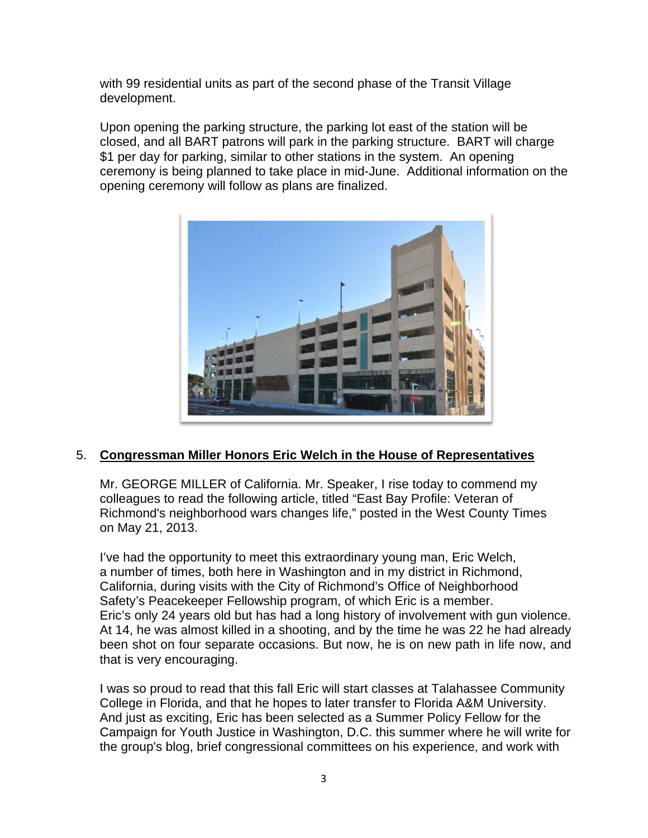with 99 residential units as part of the second phase of the Transit Village development.

Upon opening the parking structure, the parking lot east of the station will be closed, and all BART patrons will park in the parking structure. BART will charge \$1 per day for parking, similar to other stations in the system. An opening ceremony is being planned to take place in mid-June. Additional information on the opening ceremony will follow as plans are finalized.



#### 5. **Congressman Miller Honors Eric Welch in the House of Representatives**

Mr. GEORGE MILLER of California. Mr. Speaker, I rise today to commend my colleagues to read the following article, titled "East Bay Profile: Veteran of Richmond's neighborhood wars changes life," posted in the West County Times on May 21, 2013.

I've had the opportunity to meet this extraordinary young man, Eric Welch, a number of times, both here in Washington and in my district in Richmond, California, during visits with the City of Richmond's Office of Neighborhood Safety's Peacekeeper Fellowship program, of which Eric is a member. Eric's only 24 years old but has had a long history of involvement with gun violence. At 14, he was almost killed in a shooting, and by the time he was 22 he had already been shot on four separate occasions. But now, he is on new path in life now, and that is very encouraging.

I was so proud to read that this fall Eric will start classes at Talahassee Community College in Florida, and that he hopes to later transfer to Florida A&M University. And just as exciting, Eric has been selected as a Summer Policy Fellow for the Campaign for Youth Justice in Washington, D.C. this summer where he will write for the group's blog, brief congressional committees on his experience, and work with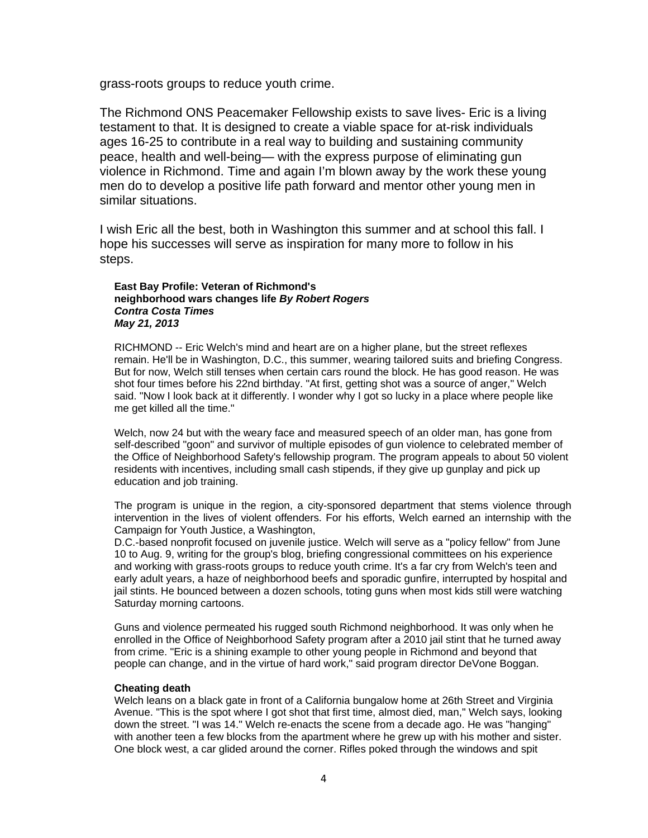grass-roots groups to reduce youth crime.

The Richmond ONS Peacemaker Fellowship exists to save lives- Eric is a living testament to that. It is designed to create a viable space for at-risk individuals ages 16-25 to contribute in a real way to building and sustaining community peace, health and well-being— with the express purpose of eliminating gun violence in Richmond. Time and again I'm blown away by the work these young men do to develop a positive life path forward and mentor other young men in similar situations.

I wish Eric all the best, both in Washington this summer and at school this fall. I hope his successes will serve as inspiration for many more to follow in his steps.

#### **East Bay Profile: Veteran of Richmond's neighborhood wars changes life** *By Robert Rogers Contra Costa Times May 21, 2013*

RICHMOND -- Eric Welch's mind and heart are on a higher plane, but the street reflexes remain. He'll be in Washington, D.C., this summer, wearing tailored suits and briefing Congress. But for now, Welch still tenses when certain cars round the block. He has good reason. He was shot four times before his 22nd birthday. "At first, getting shot was a source of anger," Welch said. "Now I look back at it differently. I wonder why I got so lucky in a place where people like me get killed all the time."

Welch, now 24 but with the weary face and measured speech of an older man, has gone from self-described "goon" and survivor of multiple episodes of gun violence to celebrated member of the Office of Neighborhood Safety's fellowship program. The program appeals to about 50 violent residents with incentives, including small cash stipends, if they give up gunplay and pick up education and job training.

The program is unique in the region, a city-sponsored department that stems violence through intervention in the lives of violent offenders. For his efforts, Welch earned an internship with the Campaign for Youth Justice, a Washington,

D.C.-based nonprofit focused on juvenile justice. Welch will serve as a "policy fellow" from June 10 to Aug. 9, writing for the group's blog, briefing congressional committees on his experience and working with grass-roots groups to reduce youth crime. It's a far cry from Welch's teen and early adult years, a haze of neighborhood beefs and sporadic gunfire, interrupted by hospital and jail stints. He bounced between a dozen schools, toting guns when most kids still were watching Saturday morning cartoons.

Guns and violence permeated his rugged south Richmond neighborhood. It was only when he enrolled in the Office of Neighborhood Safety program after a 2010 jail stint that he turned away from crime. "Eric is a shining example to other young people in Richmond and beyond that people can change, and in the virtue of hard work," said program director DeVone Boggan.

#### **Cheating death**

Welch leans on a black gate in front of a California bungalow home at 26th Street and Virginia Avenue. "This is the spot where I got shot that first time, almost died, man," Welch says, looking down the street. "I was 14." Welch re-enacts the scene from a decade ago. He was "hanging" with another teen a few blocks from the apartment where he grew up with his mother and sister. One block west, a car glided around the corner. Rifles poked through the windows and spit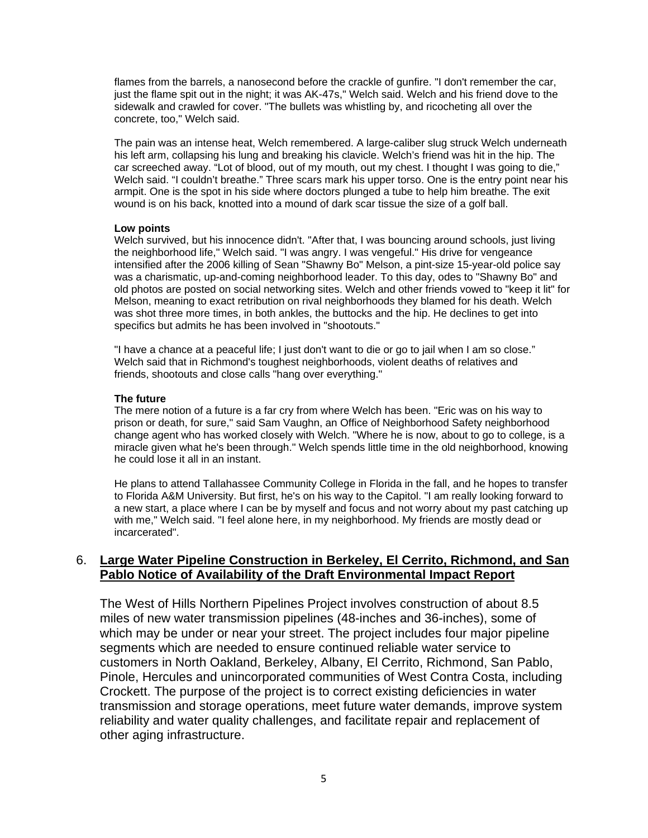flames from the barrels, a nanosecond before the crackle of gunfire. "I don't remember the car, just the flame spit out in the night; it was AK-47s," Welch said. Welch and his friend dove to the sidewalk and crawled for cover. "The bullets was whistling by, and ricocheting all over the concrete, too," Welch said.

The pain was an intense heat, Welch remembered. A large-caliber slug struck Welch underneath his left arm, collapsing his lung and breaking his clavicle. Welch's friend was hit in the hip. The car screeched away. "Lot of blood, out of my mouth, out my chest. I thought I was going to die," Welch said. "I couldn't breathe." Three scars mark his upper torso. One is the entry point near his armpit. One is the spot in his side where doctors plunged a tube to help him breathe. The exit wound is on his back, knotted into a mound of dark scar tissue the size of a golf ball.

#### **Low points**

Welch survived, but his innocence didn't. "After that, I was bouncing around schools, just living the neighborhood life," Welch said. "I was angry. I was vengeful." His drive for vengeance intensified after the 2006 killing of Sean "Shawny Bo" Melson, a pint-size 15-year-old police say was a charismatic, up-and-coming neighborhood leader. To this day, odes to "Shawny Bo" and old photos are posted on social networking sites. Welch and other friends vowed to "keep it lit" for Melson, meaning to exact retribution on rival neighborhoods they blamed for his death. Welch was shot three more times, in both ankles, the buttocks and the hip. He declines to get into specifics but admits he has been involved in "shootouts."

"I have a chance at a peaceful life; I just don't want to die or go to jail when I am so close." Welch said that in Richmond's toughest neighborhoods, violent deaths of relatives and friends, shootouts and close calls "hang over everything."

#### **The future**

The mere notion of a future is a far cry from where Welch has been. "Eric was on his way to prison or death, for sure," said Sam Vaughn, an Office of Neighborhood Safety neighborhood change agent who has worked closely with Welch. "Where he is now, about to go to college, is a miracle given what he's been through." Welch spends little time in the old neighborhood, knowing he could lose it all in an instant.

He plans to attend Tallahassee Community College in Florida in the fall, and he hopes to transfer to Florida A&M University. But first, he's on his way to the Capitol. "I am really looking forward to a new start, a place where I can be by myself and focus and not worry about my past catching up with me," Welch said. "I feel alone here, in my neighborhood. My friends are mostly dead or incarcerated".

#### 6. **Large Water Pipeline Construction in Berkeley, El Cerrito, Richmond, and San Pablo Notice of Availability of the Draft Environmental Impact Report**

The West of Hills Northern Pipelines Project involves construction of about 8.5 miles of new water transmission pipelines (48-inches and 36-inches), some of which may be under or near your street. The project includes four major pipeline segments which are needed to ensure continued reliable water service to customers in North Oakland, Berkeley, Albany, El Cerrito, Richmond, San Pablo, Pinole, Hercules and unincorporated communities of West Contra Costa, including Crockett. The purpose of the project is to correct existing deficiencies in water transmission and storage operations, meet future water demands, improve system reliability and water quality challenges, and facilitate repair and replacement of other aging infrastructure.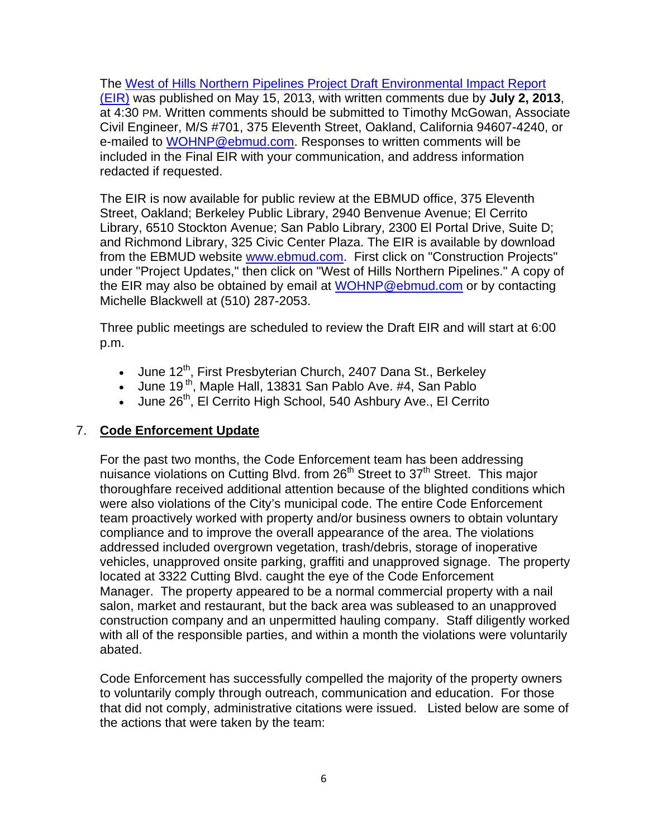The West of Hills Northern Pipelines Project Draft Environmental Impact Report (EIR) was published on May 15, 2013, with written comments due by **July 2, 2013**, at 4:30 PM. Written comments should be submitted to Timothy McGowan, Associate Civil Engineer, M/S #701, 375 Eleventh Street, Oakland, California 94607-4240, or e-mailed to WOHNP@ebmud.com. Responses to written comments will be included in the Final EIR with your communication, and address information redacted if requested.

The EIR is now available for public review at the EBMUD office, 375 Eleventh Street, Oakland; Berkeley Public Library, 2940 Benvenue Avenue; El Cerrito Library, 6510 Stockton Avenue; San Pablo Library, 2300 El Portal Drive, Suite D; and Richmond Library, 325 Civic Center Plaza. The EIR is available by download from the EBMUD website www.ebmud.com. First click on "Construction Projects" under "Project Updates," then click on "West of Hills Northern Pipelines." A copy of the EIR may also be obtained by email at WOHNP@ebmud.com or by contacting Michelle Blackwell at (510) 287-2053.

Three public meetings are scheduled to review the Draft EIR and will start at 6:00 p.m.

- June 12<sup>th</sup>, First Presbyterian Church, 2407 Dana St., Berkeley
- June 19<sup>th</sup>, Maple Hall, 13831 San Pablo Ave. #4, San Pablo
- June 26<sup>th</sup>, El Cerrito High School, 540 Ashbury Ave., El Cerrito

## 7. **Code Enforcement Update**

For the past two months, the Code Enforcement team has been addressing nuisance violations on Cutting Blvd. from  $26<sup>th</sup>$  Street to  $37<sup>th</sup>$  Street. This major thoroughfare received additional attention because of the blighted conditions which were also violations of the City's municipal code. The entire Code Enforcement team proactively worked with property and/or business owners to obtain voluntary compliance and to improve the overall appearance of the area. The violations addressed included overgrown vegetation, trash/debris, storage of inoperative vehicles, unapproved onsite parking, graffiti and unapproved signage. The property located at 3322 Cutting Blvd. caught the eye of the Code Enforcement Manager. The property appeared to be a normal commercial property with a nail salon, market and restaurant, but the back area was subleased to an unapproved construction company and an unpermitted hauling company. Staff diligently worked with all of the responsible parties, and within a month the violations were voluntarily abated.

Code Enforcement has successfully compelled the majority of the property owners to voluntarily comply through outreach, communication and education. For those that did not comply, administrative citations were issued. Listed below are some of the actions that were taken by the team: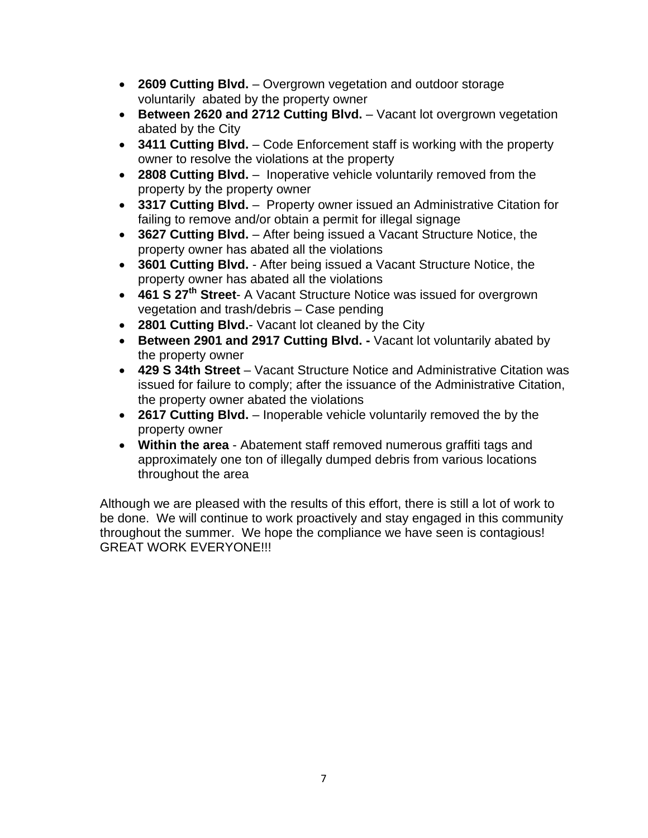- **2609 Cutting Blvd.** Overgrown vegetation and outdoor storage voluntarily abated by the property owner
- **Between 2620 and 2712 Cutting Blvd.** Vacant lot overgrown vegetation abated by the City
- **3411 Cutting Blvd.** Code Enforcement staff is working with the property owner to resolve the violations at the property
- **2808 Cutting Blvd.** Inoperative vehicle voluntarily removed from the property by the property owner
- **3317 Cutting Blvd.** Property owner issued an Administrative Citation for failing to remove and/or obtain a permit for illegal signage
- **3627 Cutting Blvd.** After being issued a Vacant Structure Notice, the property owner has abated all the violations
- **3601 Cutting Blvd.** After being issued a Vacant Structure Notice, the property owner has abated all the violations
- **461 S 27th Street** A Vacant Structure Notice was issued for overgrown vegetation and trash/debris – Case pending
- **2801 Cutting Blvd.** Vacant lot cleaned by the City
- **Between 2901 and 2917 Cutting Blvd.** Vacant lot voluntarily abated by the property owner
- **429 S 34th Street** Vacant Structure Notice and Administrative Citation was issued for failure to comply; after the issuance of the Administrative Citation, the property owner abated the violations
- **2617 Cutting Blvd.** Inoperable vehicle voluntarily removed the by the property owner
- **Within the area**  Abatement staff removed numerous graffiti tags and approximately one ton of illegally dumped debris from various locations throughout the area

Although we are pleased with the results of this effort, there is still a lot of work to be done. We will continue to work proactively and stay engaged in this community throughout the summer. We hope the compliance we have seen is contagious! GREAT WORK EVERYONE!!!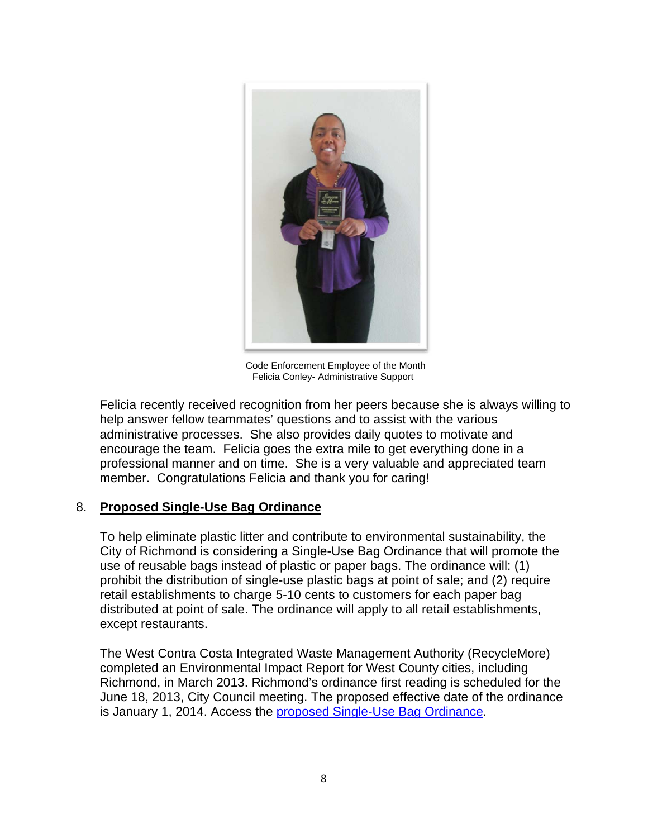

Code Enforcement Employee of the Month Felicia Conley- Administrative Support

Felicia recently received recognition from her peers because she is always willing to help answer fellow teammates' questions and to assist with the various administrative processes. She also provides daily quotes to motivate and encourage the team. Felicia goes the extra mile to get everything done in a professional manner and on time. She is a very valuable and appreciated team member. Congratulations Felicia and thank you for caring!

#### 8. **Proposed Single-Use Bag Ordinance**

To help eliminate plastic litter and contribute to environmental sustainability, the City of Richmond is considering a Single-Use Bag Ordinance that will promote the use of reusable bags instead of plastic or paper bags. The ordinance will: (1) prohibit the distribution of single-use plastic bags at point of sale; and (2) require retail establishments to charge 5-10 cents to customers for each paper bag distributed at point of sale. The ordinance will apply to all retail establishments, except restaurants.

The West Contra Costa Integrated Waste Management Authority (RecycleMore) completed an Environmental Impact Report for West County cities, including Richmond, in March 2013. Richmond's ordinance first reading is scheduled for the June 18, 2013, City Council meeting. The proposed effective date of the ordinance is January 1, 2014. Access the proposed Single-Use Bag Ordinance.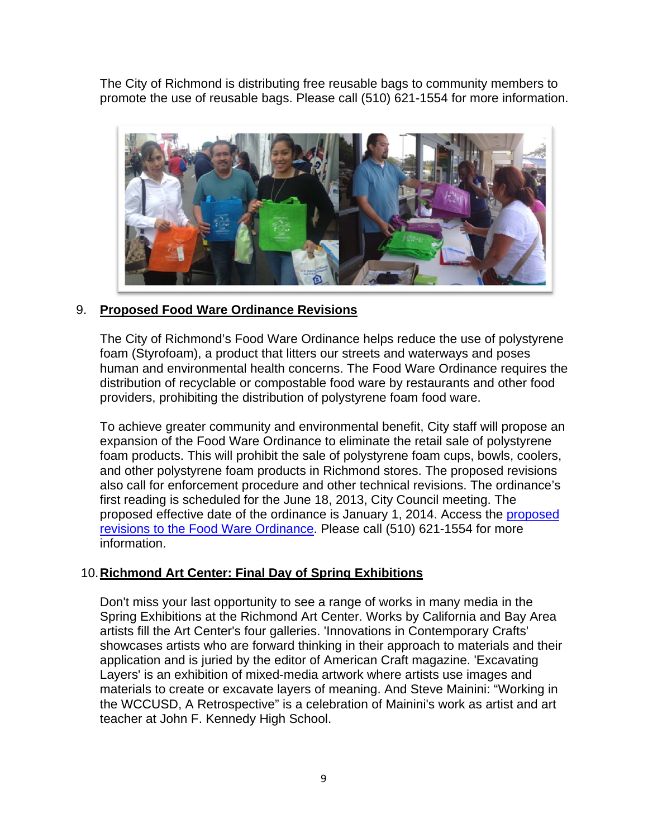The City of Richmond is distributing free reusable bags to community members to promote the use of reusable bags. Please call (510) 621-1554 for more information.



#### 9. **Proposed Food Ware Ordinance Revisions**

The City of Richmond's Food Ware Ordinance helps reduce the use of polystyrene foam (Styrofoam), a product that litters our streets and waterways and poses human and environmental health concerns. The Food Ware Ordinance requires the distribution of recyclable or compostable food ware by restaurants and other food providers, prohibiting the distribution of polystyrene foam food ware.

To achieve greater community and environmental benefit, City staff will propose an expansion of the Food Ware Ordinance to eliminate the retail sale of polystyrene foam products. This will prohibit the sale of polystyrene foam cups, bowls, coolers, and other polystyrene foam products in Richmond stores. The proposed revisions also call for enforcement procedure and other technical revisions. The ordinance's first reading is scheduled for the June 18, 2013, City Council meeting. The proposed effective date of the ordinance is January 1, 2014. Access the proposed revisions to the Food Ware Ordinance. Please call (510) 621-1554 for more information.

## 10. **Richmond Art Center: Final Day of Spring Exhibitions**

Don't miss your last opportunity to see a range of works in many media in the Spring Exhibitions at the Richmond Art Center. Works by California and Bay Area artists fill the Art Center's four galleries. 'Innovations in Contemporary Crafts' showcases artists who are forward thinking in their approach to materials and their application and is juried by the editor of American Craft magazine. 'Excavating Layers' is an exhibition of mixed-media artwork where artists use images and materials to create or excavate layers of meaning. And Steve Mainini: "Working in the WCCUSD, A Retrospective" is a celebration of Mainini's work as artist and art teacher at John F. Kennedy High School.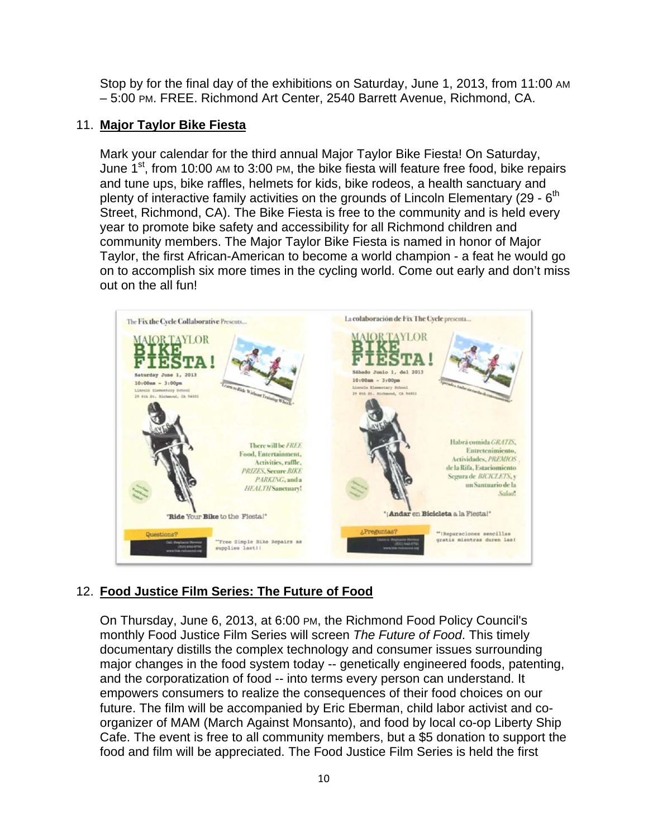Stop by for the final day of the exhibitions on Saturday, June 1, 2013, from 11:00 AM – 5:00 PM. FREE. Richmond Art Center, 2540 Barrett Avenue, Richmond, CA.

#### 11. **Major Taylor Bike Fiesta**

Mark your calendar for the third annual Major Taylor Bike Fiesta! On Saturday, June  $1^{st}$ , from 10:00 AM to 3:00 PM, the bike fiesta will feature free food, bike repairs and tune ups, bike raffles, helmets for kids, bike rodeos, a health sanctuary and plenty of interactive family activities on the grounds of Lincoln Elementary  $(29 - 6<sup>th</sup>)$ Street, Richmond, CA). The Bike Fiesta is free to the community and is held every year to promote bike safety and accessibility for all Richmond children and community members. The Major Taylor Bike Fiesta is named in honor of Major Taylor, the first African-American to become a world champion - a feat he would go on to accomplish six more times in the cycling world. Come out early and don't miss out on the all fun!



## 12. **Food Justice Film Series: The Future of Food**

On Thursday, June 6, 2013, at 6:00 PM, the Richmond Food Policy Council's monthly Food Justice Film Series will screen *The Future of Food*. This timely documentary distills the complex technology and consumer issues surrounding major changes in the food system today -- genetically engineered foods, patenting, and the corporatization of food -- into terms every person can understand. It empowers consumers to realize the consequences of their food choices on our future. The film will be accompanied by Eric Eberman, child labor activist and coorganizer of MAM (March Against Monsanto), and food by local co-op Liberty Ship Cafe. The event is free to all community members, but a \$5 donation to support the food and film will be appreciated. The Food Justice Film Series is held the first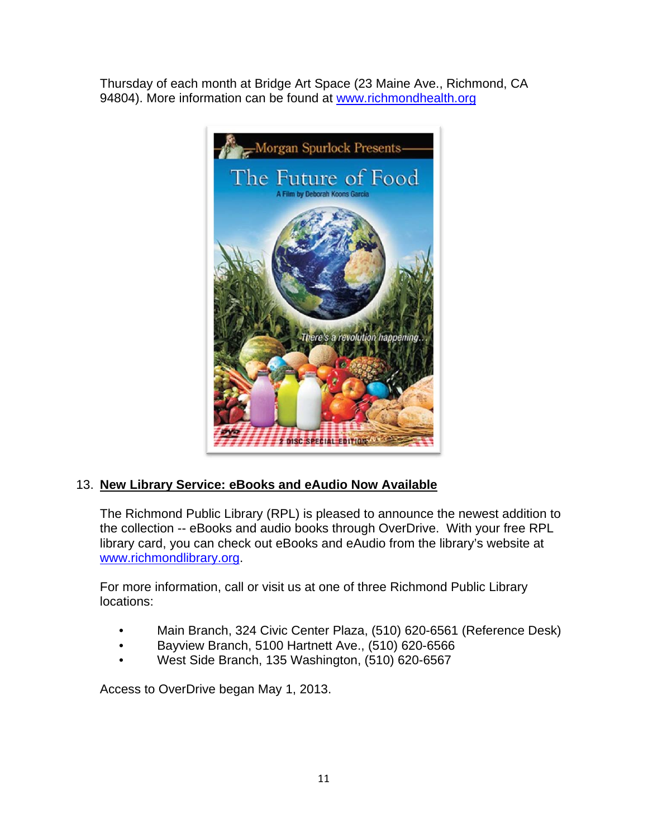Thursday of each month at Bridge Art Space (23 Maine Ave., Richmond, CA 94804). More information can be found at www.richmondhealth.org



# 13. **New Library Service: eBooks and eAudio Now Available**

The Richmond Public Library (RPL) is pleased to announce the newest addition to the collection -- eBooks and audio books through OverDrive. With your free RPL library card, you can check out eBooks and eAudio from the library's website at www.richmondlibrary.org.

For more information, call or visit us at one of three Richmond Public Library locations:

- Main Branch, 324 Civic Center Plaza, (510) 620-6561 (Reference Desk)
- Bayview Branch, 5100 Hartnett Ave., (510) 620-6566
- West Side Branch, 135 Washington, (510) 620-6567

Access to OverDrive began May 1, 2013.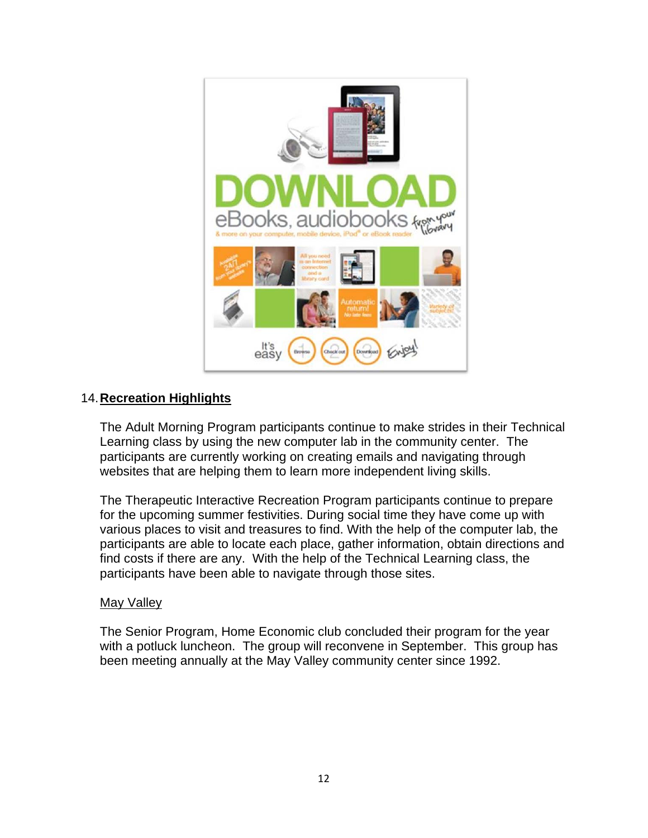

#### 14. **Recreation Highlights**

The Adult Morning Program participants continue to make strides in their Technical Learning class by using the new computer lab in the community center. The participants are currently working on creating emails and navigating through websites that are helping them to learn more independent living skills.

The Therapeutic Interactive Recreation Program participants continue to prepare for the upcoming summer festivities. During social time they have come up with various places to visit and treasures to find. With the help of the computer lab, the participants are able to locate each place, gather information, obtain directions and find costs if there are any. With the help of the Technical Learning class, the participants have been able to navigate through those sites.

#### May Valley

The Senior Program, Home Economic club concluded their program for the year with a potluck luncheon. The group will reconvene in September. This group has been meeting annually at the May Valley community center since 1992.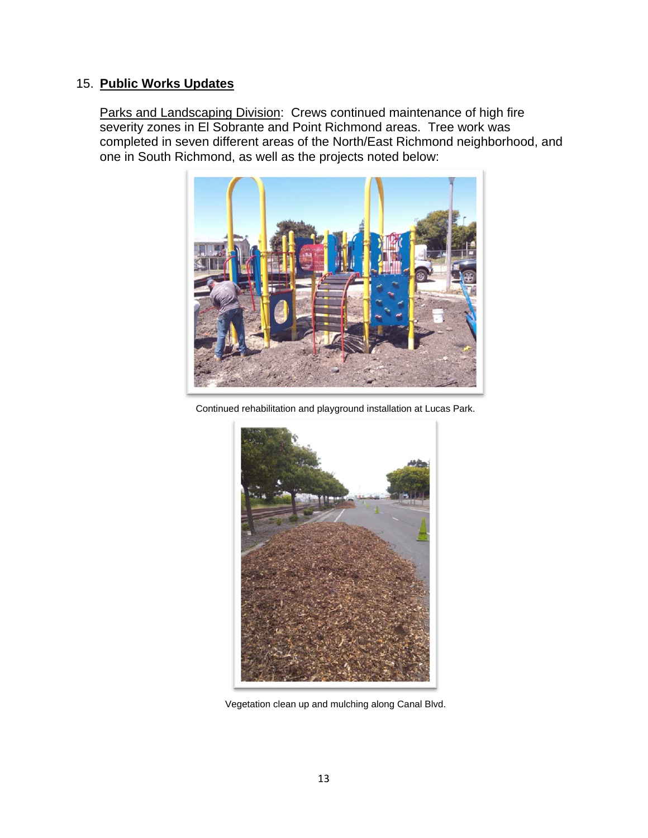## 15. **Public Works Updates**

Parks and Landscaping Division: Crews continued maintenance of high fire severity zones in El Sobrante and Point Richmond areas. Tree work was completed in seven different areas of the North/East Richmond neighborhood, and one in South Richmond, as well as the projects noted below:



Continued rehabilitation and playground installation at Lucas Park.



Vegetation clean up and mulching along Canal Blvd.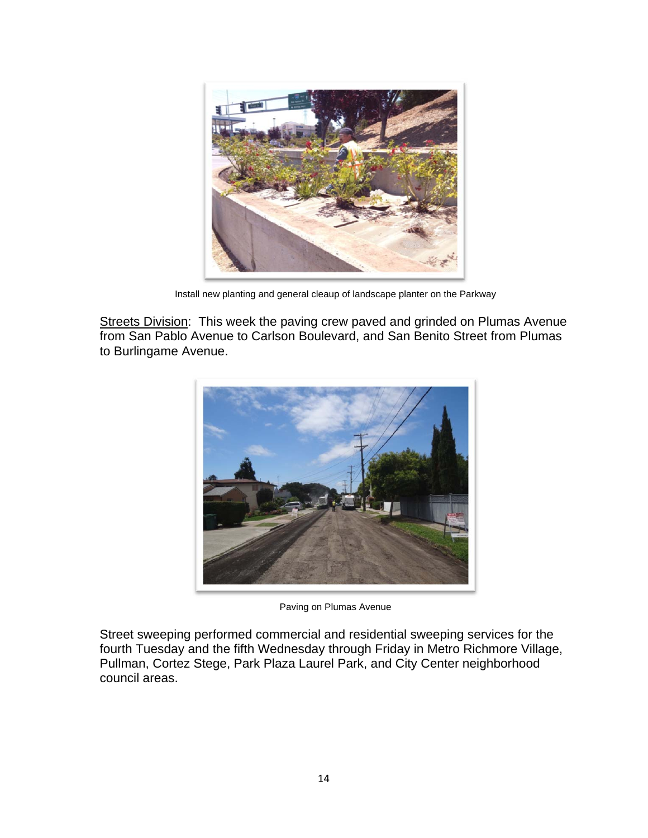

Install new planting and general cleaup of landscape planter on the Parkway

Streets Division: This week the paving crew paved and grinded on Plumas Avenue from San Pablo Avenue to Carlson Boulevard, and San Benito Street from Plumas to Burlingame Avenue.



Paving on Plumas Avenue

Street sweeping performed commercial and residential sweeping services for the fourth Tuesday and the fifth Wednesday through Friday in Metro Richmore Village, Pullman, Cortez Stege, Park Plaza Laurel Park, and City Center neighborhood council areas.